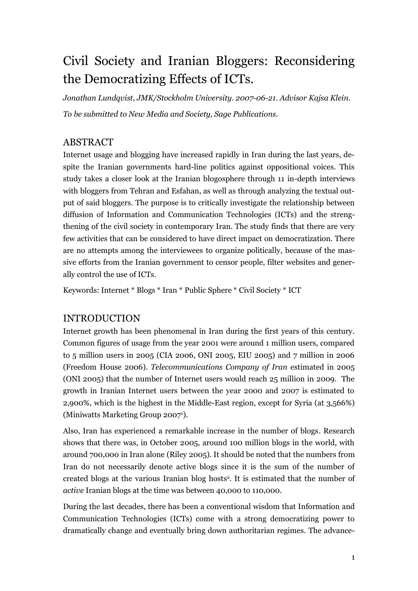# Civil Society and Iranian Bloggers: Reconsidering the Democratizing Effects of ICTs.

*Jonathan Lundqvist, JMK/Stockholm University. 2007-06-21. Advisor Kajsa Klein. To be submitted to New Media and Society, Sage Publications.*

## ABSTRACT

Internet usage and blogging have increased rapidly in Iran during the last years, despite the Iranian governments hard-line politics against oppositional voices. This study takes a closer look at the Iranian blogosphere through 11 in-depth interviews with bloggers from Tehran and Esfahan, as well as through analyzing the textual output of said bloggers. The purpose is to critically investigate the relationship between diffusion of Information and Communication Technologies (ICTs) and the strengthening of the civil society in contemporary Iran. The study finds that there are very few activities that can be considered to have direct impact on democratization. There are no attempts among the interviewees to organize politically, because of the massive efforts from the Iranian government to censor people, filter websites and generally control the use of ICTs.

Keywords: Internet \* Blogs \* Iran \* Public Sphere \* Civil Society \* ICT

## INTRODUCTION

Internet growth has been phenomenal in Iran during the first years of this century. Common figures of usage from the year 2001 were around 1 million users, compared to 5 million users in 2005 (CIA 2006, ONI 2005, EIU 2005) and 7 million in 2006 (Freedom House 2006). *Telecommunications Company of Iran* estimated in 2005 (ONI 2005) that the number of Internet users would reach 25 million in 2009. The growth in Iranian Internet users between the year 2000 and 2007 is estimated to 2,900%, which is the highest in the Middle-East region, except for Syria (at 3,566%) (Miniwatts Marketing Group 2007<sup>1</sup> ).

Also, Iran has experienced a remarkable increase in the number of blogs. Research shows that there was, in October 2005, around 100 million blogs in the world, with around 700,000 in Iran alone (Riley 2005). It should be noted that the numbers from Iran do not necessarily denote active blogs since it is the sum of the number of created blogs at the various Iranian blog hosts<sup>2</sup> . It is estimated that the number of *active* Iranian blogs at the time was between 40,000 to 110,000.

During the last decades, there has been a conventional wisdom that Information and Communication Technologies (ICTs) come with a strong democratizing power to dramatically change and eventually bring down authoritarian regimes. The advance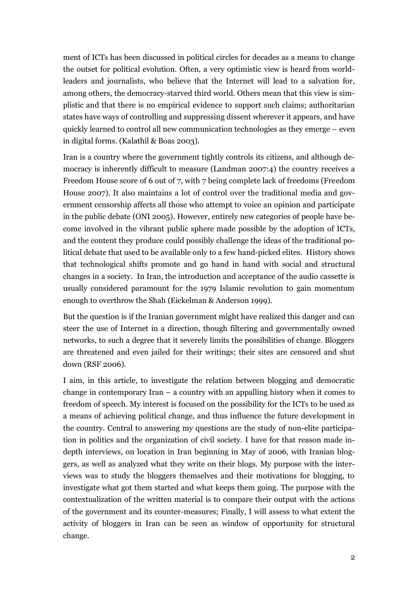ment of ICTs has been discussed in political circles for decades as a means to change the outset for political evolution. Often, a very optimistic view is heard from worldleaders and journalists, who believe that the Internet will lead to a salvation for, among others, the democracy-starved third world. Others mean that this view is simplistic and that there is no empirical evidence to support such claims; authoritarian states have ways of controlling and suppressing dissent wherever it appears, and have quickly learned to control all new communication technologies as they emerge – even in digital forms. (Kalathil & Boas 2003).

Iran is a country where the government tightly controls its citizens, and although democracy is inherently difficult to measure (Landman 2007:4) the country receives a Freedom House score of 6 out of 7, with 7 being complete lack of freedoms (Freedom House 2007). It also maintains a lot of control over the traditional media and government censorship affects all those who attempt to voice an opinion and participate in the public debate (ONI 2005). However, entirely new categories of people have become involved in the vibrant public sphere made possible by the adoption of ICTs, and the content they produce could possibly challenge the ideas of the traditional political debate that used to be available only to a few hand-picked elites. History shows that technological shifts promote and go hand in hand with social and structural changes in a society. In Iran, the introduction and acceptance of the audio cassette is usually considered paramount for the 1979 Islamic revolution to gain momentum enough to overthrow the Shah (Eickelman & Anderson 1999).

But the question is if the Iranian government might have realized this danger and can steer the use of Internet in a direction, though filtering and governmentally owned networks, to such a degree that it severely limits the possibilities of change. Bloggers are threatened and even jailed for their writings; their sites are censored and shut down (RSF 2006).

I aim, in this article, to investigate the relation between blogging and democratic change in contemporary Iran – a country with an appalling history when it comes to freedom of speech. My interest is focused on the possibility for the ICTs to be used as a means of achieving political change, and thus influence the future development in the country. Central to answering my questions are the study of non-elite participation in politics and the organization of civil society. I have for that reason made indepth interviews, on location in Iran beginning in May of 2006, with Iranian bloggers, as well as analyzed what they write on their blogs. My purpose with the interviews was to study the bloggers themselves and their motivations for blogging, to investigate what got them started and what keeps them going. The purpose with the contextualization of the written material is to compare their output with the actions of the government and its counter-measures; Finally, I will assess to what extent the activity of bloggers in Iran can be seen as window of opportunity for structural change.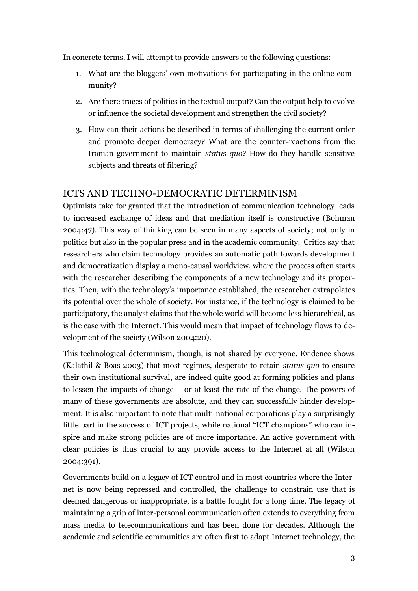In concrete terms, I will attempt to provide answers to the following questions:

- 1. What are the bloggers" own motivations for participating in the online community?
- 2. Are there traces of politics in the textual output? Can the output help to evolve or influence the societal development and strengthen the civil society?
- 3. How can their actions be described in terms of challenging the current order and promote deeper democracy? What are the counter-reactions from the Iranian government to maintain *status quo*? How do they handle sensitive subjects and threats of filtering?

## ICTS AND TECHNO-DEMOCRATIC DETERMINISM

Optimists take for granted that the introduction of communication technology leads to increased exchange of ideas and that mediation itself is constructive (Bohman 2004:47). This way of thinking can be seen in many aspects of society; not only in politics but also in the popular press and in the academic community. Critics say that researchers who claim technology provides an automatic path towards development and democratization display a mono-causal worldview, where the process often starts with the researcher describing the components of a new technology and its properties. Then, with the technology"s importance established, the researcher extrapolates its potential over the whole of society. For instance, if the technology is claimed to be participatory, the analyst claims that the whole world will become less hierarchical, as is the case with the Internet. This would mean that impact of technology flows to development of the society (Wilson 2004:20).

This technological determinism, though, is not shared by everyone. Evidence shows (Kalathil & Boas 2003) that most regimes, desperate to retain *status quo* to ensure their own institutional survival, are indeed quite good at forming policies and plans to lessen the impacts of change – or at least the rate of the change. The powers of many of these governments are absolute, and they can successfully hinder development. It is also important to note that multi-national corporations play a surprisingly little part in the success of ICT projects, while national "ICT champions" who can inspire and make strong policies are of more importance. An active government with clear policies is thus crucial to any provide access to the Internet at all (Wilson 2004:391).

Governments build on a legacy of ICT control and in most countries where the Internet is now being repressed and controlled, the challenge to constrain use that is deemed dangerous or inappropriate, is a battle fought for a long time. The legacy of maintaining a grip of inter-personal communication often extends to everything from mass media to telecommunications and has been done for decades. Although the academic and scientific communities are often first to adapt Internet technology, the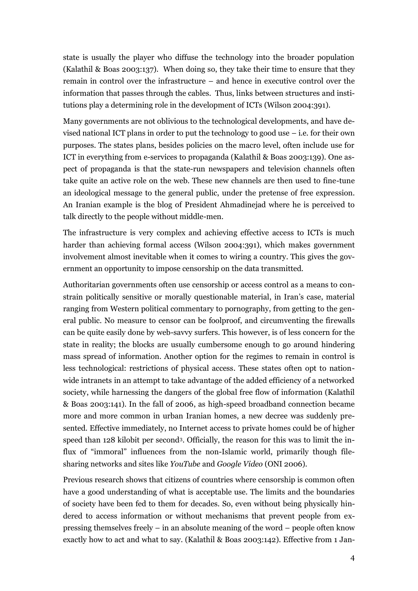state is usually the player who diffuse the technology into the broader population (Kalathil & Boas 2003:137). When doing so, they take their time to ensure that they remain in control over the infrastructure – and hence in executive control over the information that passes through the cables. Thus, links between structures and institutions play a determining role in the development of ICTs (Wilson 2004:391).

Many governments are not oblivious to the technological developments, and have devised national ICT plans in order to put the technology to good use – i.e. for their own purposes. The states plans, besides policies on the macro level, often include use for ICT in everything from e-services to propaganda (Kalathil & Boas 2003:139). One aspect of propaganda is that the state-run newspapers and television channels often take quite an active role on the web. These new channels are then used to fine-tune an ideological message to the general public, under the pretense of free expression. An Iranian example is the blog of President Ahmadinejad where he is perceived to talk directly to the people without middle-men.

The infrastructure is very complex and achieving effective access to ICTs is much harder than achieving formal access (Wilson 2004:391), which makes government involvement almost inevitable when it comes to wiring a country. This gives the government an opportunity to impose censorship on the data transmitted.

Authoritarian governments often use censorship or access control as a means to constrain politically sensitive or morally questionable material, in Iran"s case, material ranging from Western political commentary to pornography, from getting to the general public. No measure to censor can be foolproof, and circumventing the firewalls can be quite easily done by web-savvy surfers. This however, is of less concern for the state in reality; the blocks are usually cumbersome enough to go around hindering mass spread of information. Another option for the regimes to remain in control is less technological: restrictions of physical access. These states often opt to nationwide intranets in an attempt to take advantage of the added efficiency of a networked society, while harnessing the dangers of the global free flow of information (Kalathil & Boas 2003:141). In the fall of 2006, as high-speed broadband connection became more and more common in urban Iranian homes, a new decree was suddenly presented. Effective immediately, no Internet access to private homes could be of higher speed than 128 kilobit per second<sup>3</sup>. Officially, the reason for this was to limit the influx of "immoral" influences from the non-Islamic world, primarily though filesharing networks and sites like *YouTube* and *Google Video* (ONI 2006).

Previous research shows that citizens of countries where censorship is common often have a good understanding of what is acceptable use. The limits and the boundaries of society have been fed to them for decades. So, even without being physically hindered to access information or without mechanisms that prevent people from expressing themselves freely – in an absolute meaning of the word – people often know exactly how to act and what to say. (Kalathil & Boas 2003:142). Effective from 1 Jan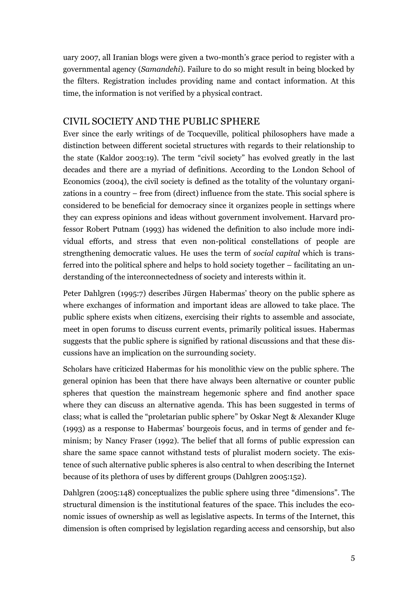uary 2007, all Iranian blogs were given a two-month's grace period to register with a governmental agency (*Samandehi*). Failure to do so might result in being blocked by the filters. Registration includes providing name and contact information. At this time, the information is not verified by a physical contract.

#### CIVIL SOCIETY AND THE PUBLIC SPHERE

Ever since the early writings of de Tocqueville, political philosophers have made a distinction between different societal structures with regards to their relationship to the state (Kaldor 2003:19). The term "civil society" has evolved greatly in the last decades and there are a myriad of definitions. According to the London School of Economics (2004), the civil society is defined as the totality of the voluntary organizations in a country – free from (direct) influence from the state. This social sphere is considered to be beneficial for democracy since it organizes people in settings where they can express opinions and ideas without government involvement. Harvard professor Robert Putnam (1993) has widened the definition to also include more individual efforts, and stress that even non-political constellations of people are strengthening democratic values. He uses the term of *social capital* which is transferred into the political sphere and helps to hold society together – facilitating an understanding of the interconnectedness of society and interests within it.

Peter Dahlgren (1995:7) describes Jürgen Habermas" theory on the public sphere as where exchanges of information and important ideas are allowed to take place. The public sphere exists when citizens, exercising their rights to assemble and associate, meet in open forums to discuss current events, primarily political issues. Habermas suggests that the public sphere is signified by rational discussions and that these discussions have an implication on the surrounding society.

Scholars have criticized Habermas for his monolithic view on the public sphere. The general opinion has been that there have always been alternative or counter public spheres that question the mainstream hegemonic sphere and find another space where they can discuss an alternative agenda. This has been suggested in terms of class; what is called the "proletarian public sphere" by Oskar Negt & Alexander Kluge (1993) as a response to Habermas" bourgeois focus, and in terms of gender and feminism; by Nancy Fraser (1992). The belief that all forms of public expression can share the same space cannot withstand tests of pluralist modern society. The existence of such alternative public spheres is also central to when describing the Internet because of its plethora of uses by different groups (Dahlgren 2005:152).

Dahlgren (2005:148) conceptualizes the public sphere using three "dimensions". The structural dimension is the institutional features of the space. This includes the economic issues of ownership as well as legislative aspects. In terms of the Internet, this dimension is often comprised by legislation regarding access and censorship, but also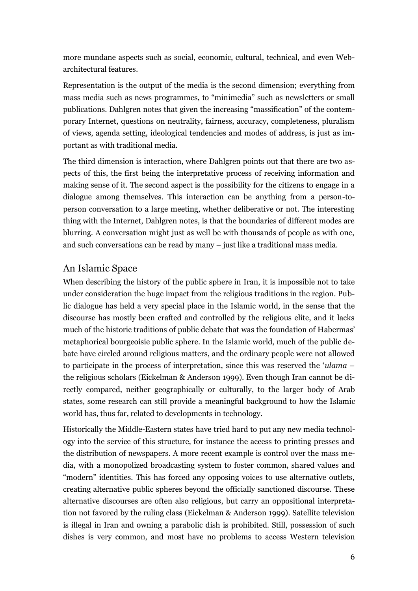more mundane aspects such as social, economic, cultural, technical, and even Webarchitectural features.

Representation is the output of the media is the second dimension; everything from mass media such as news programmes, to "minimedia" such as newsletters or small publications. Dahlgren notes that given the increasing "massification" of the contemporary Internet, questions on neutrality, fairness, accuracy, completeness, pluralism of views, agenda setting, ideological tendencies and modes of address, is just as important as with traditional media.

The third dimension is interaction, where Dahlgren points out that there are two aspects of this, the first being the interpretative process of receiving information and making sense of it. The second aspect is the possibility for the citizens to engage in a dialogue among themselves. This interaction can be anything from a person-toperson conversation to a large meeting, whether deliberative or not. The interesting thing with the Internet, Dahlgren notes, is that the boundaries of different modes are blurring. A conversation might just as well be with thousands of people as with one, and such conversations can be read by many – just like a traditional mass media.

#### An Islamic Space

When describing the history of the public sphere in Iran, it is impossible not to take under consideration the huge impact from the religious traditions in the region. Public dialogue has held a very special place in the Islamic world, in the sense that the discourse has mostly been crafted and controlled by the religious elite, and it lacks much of the historic traditions of public debate that was the foundation of Habermas' metaphorical bourgeoisie public sphere. In the Islamic world, much of the public debate have circled around religious matters, and the ordinary people were not allowed to participate in the process of interpretation, since this was reserved the "*ulama* – the religious scholars (Eickelman & Anderson 1999). Even though Iran cannot be directly compared, neither geographically or culturally, to the larger body of Arab states, some research can still provide a meaningful background to how the Islamic world has, thus far, related to developments in technology.

Historically the Middle-Eastern states have tried hard to put any new media technology into the service of this structure, for instance the access to printing presses and the distribution of newspapers. A more recent example is control over the mass media, with a monopolized broadcasting system to foster common, shared values and "modern" identities. This has forced any opposing voices to use alternative outlets, creating alternative public spheres beyond the officially sanctioned discourse. These alternative discourses are often also religious, but carry an oppositional interpretation not favored by the ruling class (Eickelman & Anderson 1999). Satellite television is illegal in Iran and owning a parabolic dish is prohibited. Still, possession of such dishes is very common, and most have no problems to access Western television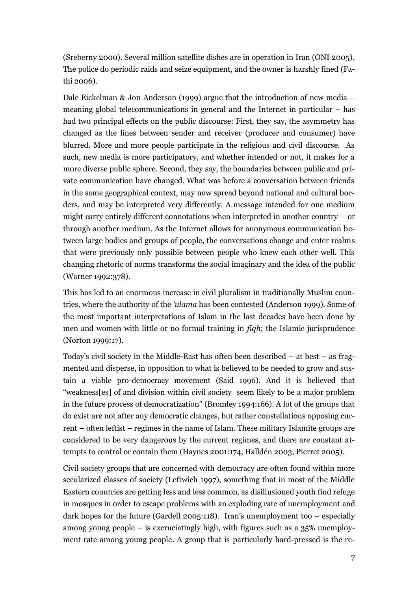(Sreberny 2000). Several million satellite dishes are in operation in Iran (ONI 2005). The police do periodic raids and seize equipment, and the owner is harshly fined (Fathi 2006).

Dale Eickelman & Jon Anderson (1999) argue that the introduction of new media – meaning global telecommunications in general and the Internet in particular – has had two principal effects on the public discourse: First, they say, the asymmetry has changed as the lines between sender and receiver (producer and consumer) have blurred. More and more people participate in the religious and civil discourse. As such, new media is more participatory, and whether intended or not, it makes for a more diverse public sphere. Second, they say, the boundaries between public and private communication have changed. What was before a conversation between friends in the same geographical context, may now spread beyond national and cultural borders, and may be interpreted very differently. A message intended for one medium might carry entirely different connotations when interpreted in another country – or through another medium. As the Internet allows for anonymous communication between large bodies and groups of people, the conversations change and enter realms that were previously only possible between people who knew each other well. This changing rhetoric of norms transforms the social imaginary and the idea of the public (Warner 1992:378).

This has led to an enormous increase in civil pluralism in traditionally Muslim countries, where the authority of the *'ulama* has been contested (Anderson 1999). Some of the most important interpretations of Islam in the last decades have been done by men and women with little or no formal training in *fiqh*; the Islamic jurisprudence (Norton 1999:17).

Today"s civil society in the Middle-East has often been described – at best – as fragmented and disperse, in opposition to what is believed to be needed to grow and sustain a viable pro-democracy movement (Said 1996). And it is believed that "weakness[es] of and division within civil society seem likely to be a major problem in the future process of democratization" (Bromley 1994:166). A lot of the groups that do exist are not after any democratic changes, but rather constellations opposing current – often leftist – regimes in the name of Islam. These military Islamite groups are considered to be very dangerous by the current regimes, and there are constant attempts to control or contain them (Haynes 2001:174, Halldén 2003, Pierret 2005).

Civil society groups that are concerned with democracy are often found within more secularized classes of society (Leftwich 1997), something that in most of the Middle Eastern countries are getting less and less common, as disillusioned youth find refuge in mosques in order to escape problems with an exploding rate of unemployment and dark hopes for the future (Gardell 2005:118). Iran's unemployment too  $-$  especially among young people – is excruciatingly high, with figures such as a 35% unemployment rate among young people. A group that is particularly hard-pressed is the re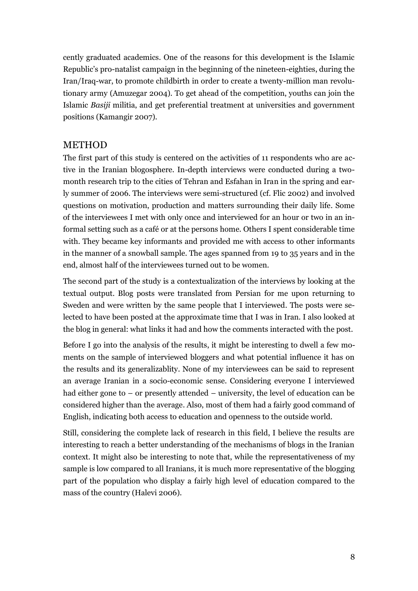cently graduated academics. One of the reasons for this development is the Islamic Republic"s pro-natalist campaign in the beginning of the nineteen-eighties, during the Iran/Iraq-war, to promote childbirth in order to create a twenty-million man revolutionary army (Amuzegar 2004). To get ahead of the competition, youths can join the Islamic *Basiji* militia, and get preferential treatment at universities and government positions (Kamangir 2007).

#### METHOD

The first part of this study is centered on the activities of 11 respondents who are active in the Iranian blogosphere. In-depth interviews were conducted during a twomonth research trip to the cities of Tehran and Esfahan in Iran in the spring and early summer of 2006. The interviews were semi-structured (cf. Flic 2002) and involved questions on motivation, production and matters surrounding their daily life. Some of the interviewees I met with only once and interviewed for an hour or two in an informal setting such as a café or at the persons home. Others I spent considerable time with. They became key informants and provided me with access to other informants in the manner of a snowball sample. The ages spanned from 19 to 35 years and in the end, almost half of the interviewees turned out to be women.

The second part of the study is a contextualization of the interviews by looking at the textual output. Blog posts were translated from Persian for me upon returning to Sweden and were written by the same people that I interviewed. The posts were selected to have been posted at the approximate time that I was in Iran. I also looked at the blog in general: what links it had and how the comments interacted with the post.

Before I go into the analysis of the results, it might be interesting to dwell a few moments on the sample of interviewed bloggers and what potential influence it has on the results and its generalizablity. None of my interviewees can be said to represent an average Iranian in a socio-economic sense. Considering everyone I interviewed had either gone to – or presently attended – university, the level of education can be considered higher than the average. Also, most of them had a fairly good command of English, indicating both access to education and openness to the outside world.

Still, considering the complete lack of research in this field, I believe the results are interesting to reach a better understanding of the mechanisms of blogs in the Iranian context. It might also be interesting to note that, while the representativeness of my sample is low compared to all Iranians, it is much more representative of the blogging part of the population who display a fairly high level of education compared to the mass of the country (Halevi 2006).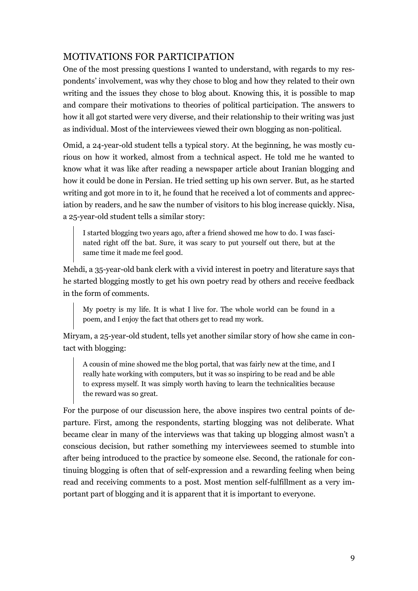# MOTIVATIONS FOR PARTICIPATION

One of the most pressing questions I wanted to understand, with regards to my respondents" involvement, was why they chose to blog and how they related to their own writing and the issues they chose to blog about. Knowing this, it is possible to map and compare their motivations to theories of political participation. The answers to how it all got started were very diverse, and their relationship to their writing was just as individual. Most of the interviewees viewed their own blogging as non-political.

Omid, a 24-year-old student tells a typical story. At the beginning, he was mostly curious on how it worked, almost from a technical aspect. He told me he wanted to know what it was like after reading a newspaper article about Iranian blogging and how it could be done in Persian. He tried setting up his own server. But, as he started writing and got more in to it, he found that he received a lot of comments and appreciation by readers, and he saw the number of visitors to his blog increase quickly. Nisa, a 25-year-old student tells a similar story:

I started blogging two years ago, after a friend showed me how to do. I was fascinated right off the bat. Sure, it was scary to put yourself out there, but at the same time it made me feel good.

Mehdi, a 35-year-old bank clerk with a vivid interest in poetry and literature says that he started blogging mostly to get his own poetry read by others and receive feedback in the form of comments.

My poetry is my life. It is what I live for. The whole world can be found in a poem, and I enjoy the fact that others get to read my work.

Miryam, a 25-year-old student, tells yet another similar story of how she came in contact with blogging:

A cousin of mine showed me the blog portal, that was fairly new at the time, and I really hate working with computers, but it was so inspiring to be read and be able to express myself. It was simply worth having to learn the technicalities because the reward was so great.

For the purpose of our discussion here, the above inspires two central points of departure. First, among the respondents, starting blogging was not deliberate. What became clear in many of the interviews was that taking up blogging almost wasn"t a conscious decision, but rather something my interviewees seemed to stumble into after being introduced to the practice by someone else. Second, the rationale for continuing blogging is often that of self-expression and a rewarding feeling when being read and receiving comments to a post. Most mention self-fulfillment as a very important part of blogging and it is apparent that it is important to everyone.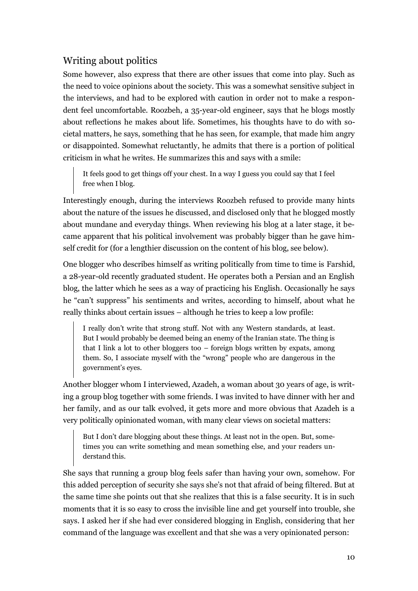# Writing about politics

Some however, also express that there are other issues that come into play. Such as the need to voice opinions about the society. This was a somewhat sensitive subject in the interviews, and had to be explored with caution in order not to make a respondent feel uncomfortable. Roozbeh, a 35-year-old engineer, says that he blogs mostly about reflections he makes about life. Sometimes, his thoughts have to do with societal matters, he says, something that he has seen, for example, that made him angry or disappointed. Somewhat reluctantly, he admits that there is a portion of political criticism in what he writes. He summarizes this and says with a smile:

It feels good to get things off your chest. In a way I guess you could say that I feel free when I blog.

Interestingly enough, during the interviews Roozbeh refused to provide many hints about the nature of the issues he discussed, and disclosed only that he blogged mostly about mundane and everyday things. When reviewing his blog at a later stage, it became apparent that his political involvement was probably bigger than he gave himself credit for (for a lengthier discussion on the content of his blog, see below).

One blogger who describes himself as writing politically from time to time is Farshid, a 28-year-old recently graduated student. He operates both a Persian and an English blog, the latter which he sees as a way of practicing his English. Occasionally he says he "can"t suppress" his sentiments and writes, according to himself, about what he really thinks about certain issues – although he tries to keep a low profile:

I really don"t write that strong stuff. Not with any Western standards, at least. But I would probably be deemed being an enemy of the Iranian state. The thing is that I link a lot to other bloggers too – foreign blogs written by expats, among them. So, I associate myself with the "wrong" people who are dangerous in the government"s eyes.

Another blogger whom I interviewed, Azadeh, a woman about 30 years of age, is writing a group blog together with some friends. I was invited to have dinner with her and her family, and as our talk evolved, it gets more and more obvious that Azadeh is a very politically opinionated woman, with many clear views on societal matters:

But I don't dare blogging about these things. At least not in the open. But, sometimes you can write something and mean something else, and your readers understand this.

She says that running a group blog feels safer than having your own, somehow. For this added perception of security she says she"s not that afraid of being filtered. But at the same time she points out that she realizes that this is a false security. It is in such moments that it is so easy to cross the invisible line and get yourself into trouble, she says. I asked her if she had ever considered blogging in English, considering that her command of the language was excellent and that she was a very opinionated person: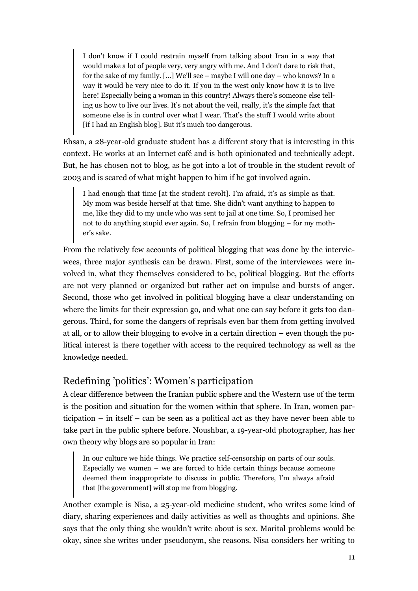I don"t know if I could restrain myself from talking about Iran in a way that would make a lot of people very, very angry with me. And I don"t dare to risk that, for the sake of my family. […] We"ll see – maybe I will one day – who knows? In a way it would be very nice to do it. If you in the west only know how it is to live here! Especially being a woman in this country! Always there's someone else telling us how to live our lives. It's not about the veil, really, it's the simple fact that someone else is in control over what I wear. That"s the stuff I would write about [if I had an English blog]. But it's much too dangerous.

Ehsan, a 28-year-old graduate student has a different story that is interesting in this context. He works at an Internet café and is both opinionated and technically adept. But, he has chosen not to blog, as he got into a lot of trouble in the student revolt of 2003 and is scared of what might happen to him if he got involved again.

I had enough that time [at the student revolt]. I'm afraid, it's as simple as that. My mom was beside herself at that time. She didn"t want anything to happen to me, like they did to my uncle who was sent to jail at one time. So, I promised her not to do anything stupid ever again. So, I refrain from blogging – for my mother"s sake.

From the relatively few accounts of political blogging that was done by the interviewees, three major synthesis can be drawn. First, some of the interviewees were involved in, what they themselves considered to be, political blogging. But the efforts are not very planned or organized but rather act on impulse and bursts of anger. Second, those who get involved in political blogging have a clear understanding on where the limits for their expression go, and what one can say before it gets too dangerous. Third, for some the dangers of reprisals even bar them from getting involved at all, or to allow their blogging to evolve in a certain direction – even though the political interest is there together with access to the required technology as well as the knowledge needed.

## Redefining "politics": Women"s participation

A clear difference between the Iranian public sphere and the Western use of the term is the position and situation for the women within that sphere. In Iran, women participation – in itself – can be seen as a political act as they have never been able to take part in the public sphere before. Noushbar, a 19-year-old photographer, has her own theory why blogs are so popular in Iran:

In our culture we hide things. We practice self-censorship on parts of our souls. Especially we women – we are forced to hide certain things because someone deemed them inappropriate to discuss in public. Therefore, I"m always afraid that [the government] will stop me from blogging.

Another example is Nisa, a 25-year-old medicine student, who writes some kind of diary, sharing experiences and daily activities as well as thoughts and opinions. She says that the only thing she wouldn"t write about is sex. Marital problems would be okay, since she writes under pseudonym, she reasons. Nisa considers her writing to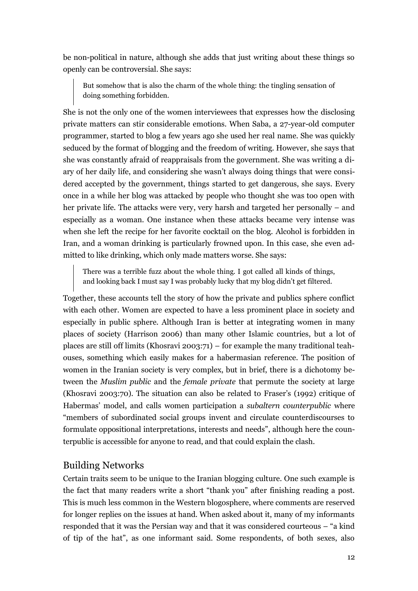be non-political in nature, although she adds that just writing about these things so openly can be controversial. She says:

But somehow that is also the charm of the whole thing: the tingling sensation of doing something forbidden.

She is not the only one of the women interviewees that expresses how the disclosing private matters can stir considerable emotions. When Saba, a 27-year-old computer programmer, started to blog a few years ago she used her real name. She was quickly seduced by the format of blogging and the freedom of writing. However, she says that she was constantly afraid of reappraisals from the government. She was writing a diary of her daily life, and considering she wasn't always doing things that were considered accepted by the government, things started to get dangerous, she says. Every once in a while her blog was attacked by people who thought she was too open with her private life. The attacks were very, very harsh and targeted her personally – and especially as a woman. One instance when these attacks became very intense was when she left the recipe for her favorite cocktail on the blog. Alcohol is forbidden in Iran, and a woman drinking is particularly frowned upon. In this case, she even admitted to like drinking, which only made matters worse. She says:

There was a terrible fuzz about the whole thing. I got called all kinds of things, and looking back I must say I was probably lucky that my blog didn"t get filtered.

Together, these accounts tell the story of how the private and publics sphere conflict with each other. Women are expected to have a less prominent place in society and especially in public sphere. Although Iran is better at integrating women in many places of society (Harrison 2006) than many other Islamic countries, but a lot of places are still off limits (Khosravi 2003:71) – for example the many traditional teahouses, something which easily makes for a habermasian reference. The position of women in the Iranian society is very complex, but in brief, there is a dichotomy between the *Muslim public* and the *female private* that permute the society at large (Khosravi 2003:70). The situation can also be related to Fraser"s (1992) critique of Habermas" model, and calls women participation a *subaltern counterpublic* where "members of subordinated social groups invent and circulate counterdiscourses to formulate oppositional interpretations, interests and needs", although here the counterpublic is accessible for anyone to read, and that could explain the clash.

## Building Networks

Certain traits seem to be unique to the Iranian blogging culture. One such example is the fact that many readers write a short "thank you" after finishing reading a post. This is much less common in the Western blogosphere, where comments are reserved for longer replies on the issues at hand. When asked about it, many of my informants responded that it was the Persian way and that it was considered courteous – "a kind of tip of the hat", as one informant said. Some respondents, of both sexes, also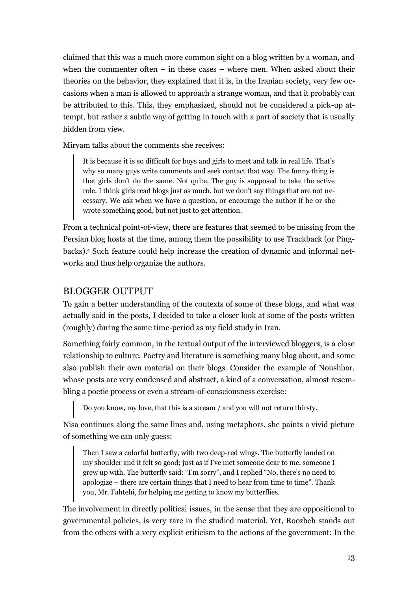claimed that this was a much more common sight on a blog written by a woman, and when the commenter often  $-$  in these cases  $-$  where men. When asked about their theories on the behavior, they explained that it is, in the Iranian society, very few occasions when a man is allowed to approach a strange woman, and that it probably can be attributed to this. This, they emphasized, should not be considered a pick-up attempt, but rather a subtle way of getting in touch with a part of society that is usually hidden from view.

Miryam talks about the comments she receives:

It is because it is so difficult for boys and girls to meet and talk in real life. That"s why so many guys write comments and seek contact that way. The funny thing is that girls don"t do the same. Not quite. The guy is supposed to take the active role. I think girls read blogs just as much, but we don"t say things that are not necessary. We ask when we have a question, or encourage the author if he or she wrote something good, but not just to get attention.

From a technical point-of-view, there are features that seemed to be missing from the Persian blog hosts at the time, among them the possibility to use Trackback (or Pingbacks).<sup>4</sup> Such feature could help increase the creation of dynamic and informal networks and thus help organize the authors.

#### BLOGGER OUTPUT

To gain a better understanding of the contexts of some of these blogs, and what was actually said in the posts, I decided to take a closer look at some of the posts written (roughly) during the same time-period as my field study in Iran.

Something fairly common, in the textual output of the interviewed bloggers, is a close relationship to culture. Poetry and literature is something many blog about, and some also publish their own material on their blogs. Consider the example of Noushbar, whose posts are very condensed and abstract, a kind of a conversation, almost resembling a poetic process or even a stream-of-consciousness exercise:

Do you know, my love, that this is a stream / and you will not return thirsty.

Nisa continues along the same lines and, using metaphors, she paints a vivid picture of something we can only guess:

Then I saw a colorful butterfly, with two deep-red wings. The butterfly landed on my shoulder and it felt so good; just as if I"ve met someone dear to me, someone I grew up with. The butterfly said: "I"m sorry", and I replied "No, there"s no need to apologize – there are certain things that I need to hear from time to time". Thank you, Mr. Fahtehi, for helping me getting to know my butterflies.

The involvement in directly political issues, in the sense that they are oppositional to governmental policies, is very rare in the studied material. Yet, Roozbeh stands out from the others with a very explicit criticism to the actions of the government: In the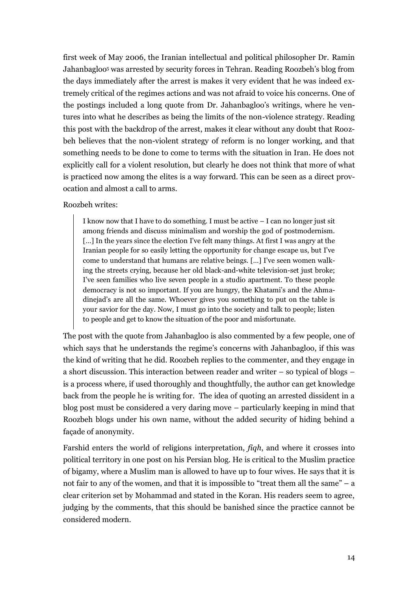first week of May 2006, the Iranian intellectual and political philosopher Dr. Ramin Jahanbagloo<sup>5</sup> was arrested by security forces in Tehran. Reading Roozbeh's blog from the days immediately after the arrest is makes it very evident that he was indeed extremely critical of the regimes actions and was not afraid to voice his concerns. One of the postings included a long quote from Dr. Jahanbagloo's writings, where he ventures into what he describes as being the limits of the non-violence strategy. Reading this post with the backdrop of the arrest, makes it clear without any doubt that Roozbeh believes that the non-violent strategy of reform is no longer working, and that something needs to be done to come to terms with the situation in Iran. He does not explicitly call for a violent resolution, but clearly he does not think that more of what is practiced now among the elites is a way forward. This can be seen as a direct provocation and almost a call to arms.

#### Roozbeh writes:

I know now that I have to do something. I must be active – I can no longer just sit among friends and discuss minimalism and worship the god of postmodernism. [...] In the years since the election I've felt many things. At first I was angry at the Iranian people for so easily letting the opportunity for change escape us, but I"ve come to understand that humans are relative beings. […] I"ve seen women walking the streets crying, because her old black-and-white television-set just broke; I"ve seen families who live seven people in a studio apartment. To these people democracy is not so important. If you are hungry, the Khatami's and the Ahmadinejad's are all the same. Whoever gives you something to put on the table is your savior for the day. Now, I must go into the society and talk to people; listen to people and get to know the situation of the poor and misfortunate.

The post with the quote from Jahanbagloo is also commented by a few people, one of which says that he understands the regime's concerns with Jahanbagloo, if this was the kind of writing that he did. Roozbeh replies to the commenter, and they engage in a short discussion. This interaction between reader and writer – so typical of blogs – is a process where, if used thoroughly and thoughtfully, the author can get knowledge back from the people he is writing for. The idea of quoting an arrested dissident in a blog post must be considered a very daring move – particularly keeping in mind that Roozbeh blogs under his own name, without the added security of hiding behind a façade of anonymity.

Farshid enters the world of religions interpretation, *fiqh*, and where it crosses into political territory in one post on his Persian blog. He is critical to the Muslim practice of bigamy, where a Muslim man is allowed to have up to four wives. He says that it is not fair to any of the women, and that it is impossible to "treat them all the same" – a clear criterion set by Mohammad and stated in the Koran. His readers seem to agree, judging by the comments, that this should be banished since the practice cannot be considered modern.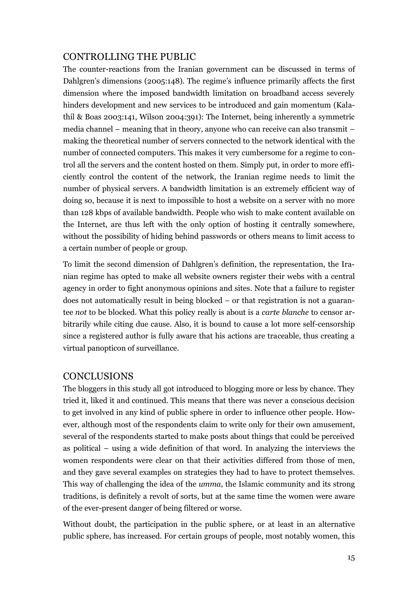# CONTROLLING THE PUBLIC

The counter-reactions from the Iranian government can be discussed in terms of Dahlgren's dimensions (2005:148). The regime's influence primarily affects the first dimension where the imposed bandwidth limitation on broadband access severely hinders development and new services to be introduced and gain momentum (Kalathil & Boas 2003:141, Wilson 2004:391): The Internet, being inherently a symmetric media channel – meaning that in theory, anyone who can receive can also transmit – making the theoretical number of servers connected to the network identical with the number of connected computers. This makes it very cumbersome for a regime to control all the servers and the content hosted on them. Simply put, in order to more efficiently control the content of the network, the Iranian regime needs to limit the number of physical servers. A bandwidth limitation is an extremely efficient way of doing so, because it is next to impossible to host a website on a server with no more than 128 kbps of available bandwidth. People who wish to make content available on the Internet, are thus left with the only option of hosting it centrally somewhere, without the possibility of hiding behind passwords or others means to limit access to a certain number of people or group.

To limit the second dimension of Dahlgren"s definition, the representation, the Iranian regime has opted to make all website owners register their webs with a central agency in order to fight anonymous opinions and sites. Note that a failure to register does not automatically result in being blocked – or that registration is not a guarantee *not* to be blocked. What this policy really is about is a *carte blanche* to censor arbitrarily while citing due cause. Also, it is bound to cause a lot more self-censorship since a registered author is fully aware that his actions are traceable, thus creating a virtual panopticon of surveillance.

# **CONCLUSIONS**

The bloggers in this study all got introduced to blogging more or less by chance. They tried it, liked it and continued. This means that there was never a conscious decision to get involved in any kind of public sphere in order to influence other people. However, although most of the respondents claim to write only for their own amusement, several of the respondents started to make posts about things that could be perceived as political – using a wide definition of that word. In analyzing the interviews the women respondents were clear on that their activities differed from those of men, and they gave several examples on strategies they had to have to protect themselves. This way of challenging the idea of the *umma*, the Islamic community and its strong traditions, is definitely a revolt of sorts, but at the same time the women were aware of the ever-present danger of being filtered or worse.

Without doubt, the participation in the public sphere, or at least in an alternative public sphere, has increased. For certain groups of people, most notably women, this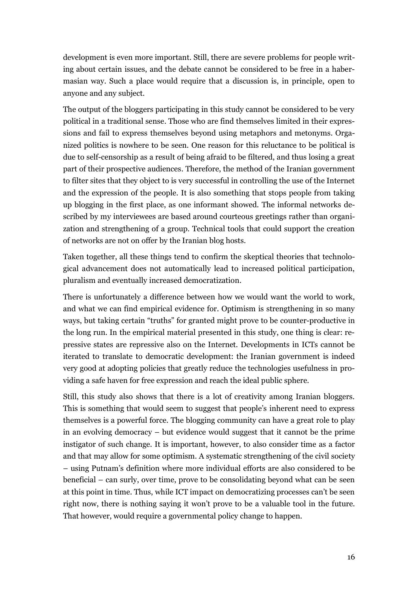development is even more important. Still, there are severe problems for people writing about certain issues, and the debate cannot be considered to be free in a habermasian way. Such a place would require that a discussion is, in principle, open to anyone and any subject.

The output of the bloggers participating in this study cannot be considered to be very political in a traditional sense. Those who are find themselves limited in their expressions and fail to express themselves beyond using metaphors and metonyms. Organized politics is nowhere to be seen. One reason for this reluctance to be political is due to self-censorship as a result of being afraid to be filtered, and thus losing a great part of their prospective audiences. Therefore, the method of the Iranian government to filter sites that they object to is very successful in controlling the use of the Internet and the expression of the people. It is also something that stops people from taking up blogging in the first place, as one informant showed. The informal networks described by my interviewees are based around courteous greetings rather than organization and strengthening of a group. Technical tools that could support the creation of networks are not on offer by the Iranian blog hosts.

Taken together, all these things tend to confirm the skeptical theories that technological advancement does not automatically lead to increased political participation, pluralism and eventually increased democratization.

There is unfortunately a difference between how we would want the world to work, and what we can find empirical evidence for. Optimism is strengthening in so many ways, but taking certain "truths" for granted might prove to be counter-productive in the long run. In the empirical material presented in this study, one thing is clear: repressive states are repressive also on the Internet. Developments in ICTs cannot be iterated to translate to democratic development: the Iranian government is indeed very good at adopting policies that greatly reduce the technologies usefulness in providing a safe haven for free expression and reach the ideal public sphere.

Still, this study also shows that there is a lot of creativity among Iranian bloggers. This is something that would seem to suggest that people's inherent need to express themselves is a powerful force. The blogging community can have a great role to play in an evolving democracy – but evidence would suggest that it cannot be the prime instigator of such change. It is important, however, to also consider time as a factor and that may allow for some optimism. A systematic strengthening of the civil society – using Putnam"s definition where more individual efforts are also considered to be beneficial – can surly, over time, prove to be consolidating beyond what can be seen at this point in time. Thus, while ICT impact on democratizing processes can"t be seen right now, there is nothing saying it won"t prove to be a valuable tool in the future. That however, would require a governmental policy change to happen.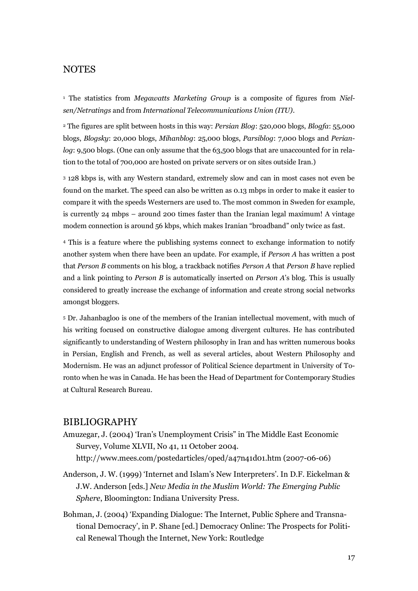#### **NOTES**

<sup>1</sup> The statistics from *Megawatts Marketing Group* is a composite of figures from *Nielsen/Netratings* and from *International Telecommunications Union (ITU)*.

<sup>2</sup> The figures are split between hosts in this way: *Persian Blog*: 520,000 blogs, *Blogfa*: 55,000 blogs, *Blogsky*: 20,000 blogs, *Mihanblog*: 25,000 blogs, *Parsiblog*: 7,000 blogs and *Perianlog*: 9,500 blogs. (One can only assume that the 63,500 blogs that are unaccounted for in relation to the total of 700,000 are hosted on private servers or on sites outside Iran.)

<sup>3</sup> 128 kbps is, with any Western standard, extremely slow and can in most cases not even be found on the market. The speed can also be written as 0.13 mbps in order to make it easier to compare it with the speeds Westerners are used to. The most common in Sweden for example, is currently 24 mbps – around 200 times faster than the Iranian legal maximum! A vintage modem connection is around 56 kbps, which makes Iranian "broadband" only twice as fast.

<sup>4</sup> This is a feature where the publishing systems connect to exchange information to notify another system when there have been an update. For example, if *Person A* has written a post that *Person B* comments on his blog, a trackback notifies *Person A* that *Person B* have replied and a link pointing to *Person B* is automatically inserted on *Person A*"s blog. This is usually considered to greatly increase the exchange of information and create strong social networks amongst bloggers.

<sup>5</sup> Dr. Jahanbagloo is one of the members of the Iranian intellectual movement, with much of his writing focused on constructive dialogue among divergent cultures. He has contributed significantly to understanding of Western philosophy in Iran and has written numerous books in Persian, English and French, as well as several articles, about Western Philosophy and Modernism. He was an adjunct professor of Political Science department in University of Toronto when he was in Canada. He has been the Head of Department for Contemporary Studies at Cultural Research Bureau.

#### BIBLIOGRAPHY

- Amuzegar, J. (2004) "Iran"s Unemployment Crisis" in The Middle East Economic Survey, Volume XLVII, No 41, 11 October 2004. http://www.mees.com/postedarticles/oped/a47n41d01.htm (2007-06-06)
- Anderson, J. W. (1999) 'Internet and Islam's New Interpreters'. In D.F. Eickelman & J.W. Anderson [eds.] *New Media in the Muslim World: The Emerging Public Sphere*, Bloomington: Indiana University Press.
- Bohman, J. (2004) "Expanding Dialogue: The Internet, Public Sphere and Transnational Democracy", in P. Shane [ed.] Democracy Online: The Prospects for Political Renewal Though the Internet, New York: Routledge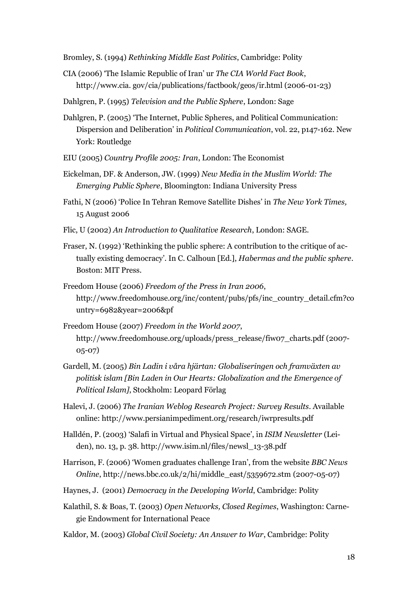Bromley, S. (1994) *Rethinking Middle East Politics*, Cambridge: Polity

- CIA (2006) "The Islamic Republic of Iran" ur *The CIA World Fact Book*, http://www.cia. gov/cia/publications/factbook/geos/ir.html (2006-01-23)
- Dahlgren, P. (1995) *Television and the Public Sphere*, London: Sage
- Dahlgren, P. (2005) "The Internet, Public Spheres, and Political Communication: Dispersion and Deliberation" in *Political Communication*, vol. 22, p147-162. New York: Routledge
- EIU (2005) *Country Profile 2005: Iran*, London: The Economist
- Eickelman, DF. & Anderson, JW. (1999) *New Media in the Muslim World: The Emerging Public Sphere*, Bloomington: Indiana University Press
- Fathi, N (2006) "Police In Tehran Remove Satellite Dishes" in *The New York Times,* 15 August 2006
- Flic, U (2002) *An Introduction to Qualitative Research*, London: SAGE.
- Fraser, N. (1992) "Rethinking the public sphere: A contribution to the critique of actually existing democracy". In C. Calhoun [Ed.], *Habermas and the public sphere*. Boston: MIT Press.
- Freedom House (2006) *Freedom of the Press in Iran 2006*, http://www.freedomhouse.org/inc/content/pubs/pfs/inc\_country\_detail.cfm?co untry=6982&year=2006&pf
- Freedom House (2007) *Freedom in the World 2007*, http://www.freedomhouse.org/uploads/press\_release/fiw07\_charts.pdf (2007- 05-07)
- Gardell, M. (2005) *Bin Ladin i våra hjärtan: Globaliseringen och framväxten av politisk islam [Bin Laden in Our Hearts: Globalization and the Emergence of Political Islam]*, Stockholm: Leopard Förlag
- Halevi, J. (2006) *The Iranian Weblog Research Project: Survey Results*. Available online: http://www.persianimpediment.org/research/iwrpresults.pdf
- Halldén, P. (2003) "Salafi in Virtual and Physical Space", in *ISIM Newsletter* (Leiden), no. 13, p. 38. http://www.isim.nl/files/newsl\_13-38.pdf
- Harrison, F. (2006) "Women graduates challenge Iran", from the website *BBC News Online*, http://news.bbc.co.uk/2/hi/middle\_east/5359672.stm (2007-05-07)
- Haynes, J. (2001) *Democracy in the Developing World*, Cambridge: Polity
- Kalathil, S. & Boas, T. (2003) *Open Networks, Closed Regimes*, Washington: Carnegie Endowment for International Peace
- Kaldor, M. (2003) *Global Civil Society: An Answer to War*, Cambridge: Polity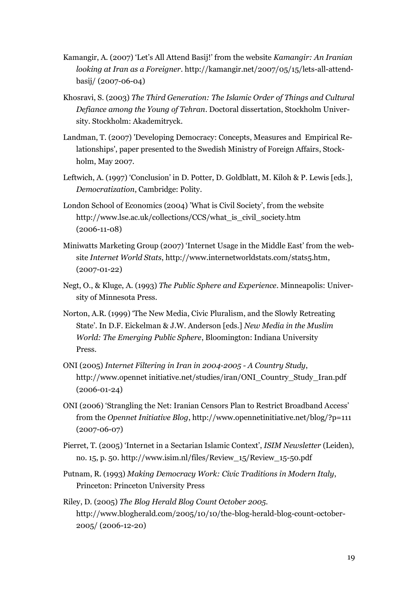- Kamangir, A. (2007) "Let"s All Attend Basij!" from the website *Kamangir: An Iranian looking at Iran as a Foreigner*. http://kamangir.net/2007/05/15/lets-all-attendbasij/ (2007-06-04)
- Khosravi, S. (2003) *The Third Generation: The Islamic Order of Things and Cultural Defiance among the Young of Tehran*. Doctoral dissertation, Stockholm University. Stockholm: Akademitryck.
- Landman, T. (2007) 'Developing Democracy: Concepts, Measures and Empirical Relationships', paper presented to the Swedish Ministry of Foreign Affairs, Stockholm, May 2007.
- Leftwich, A. (1997) 'Conclusion' in D. Potter, D. Goldblatt, M. Kiloh & P. Lewis [eds.], *Democratization*, Cambridge: Polity.
- London School of Economics (2004) 'What is Civil Society', from the website http://www.lse.ac.uk/collections/CCS/what\_is\_civil\_society.htm (2006-11-08)
- Miniwatts Marketing Group (2007) "Internet Usage in the Middle East" from the website *Internet World Stats*, http://www.internetworldstats.com/stats5.htm, (2007-01-22)
- Negt, O., & Kluge, A. (1993) *The Public Sphere and Experience*. Minneapolis: University of Minnesota Press.
- Norton, A.R. (1999) "The New Media, Civic Pluralism, and the Slowly Retreating State". In D.F. Eickelman & J.W. Anderson [eds.] *New Media in the Muslim World: The Emerging Public Sphere*, Bloomington: Indiana University Press.
- ONI (2005) *Internet Filtering in Iran in 2004-2005 - A Country Study*, http://www.opennet initiative.net/studies/iran/ONI\_Country\_Study\_Iran.pdf (2006-01-24)
- ONI (2006) "Strangling the Net: Iranian Censors Plan to Restrict Broadband Access" from the *Opennet Initiative Blog*, http://www.opennetinitiative.net/blog/?p=111 (2007-06-07)
- Pierret, T. (2005) "Internet in a Sectarian Islamic Context", *ISIM Newsletter* (Leiden), no. 15, p. 50. http://www.isim.nl/files/Review\_15/Review\_15-50.pdf
- Putnam, R. (1993) *Making Democracy Work: Civic Traditions in Modern Italy*, Princeton: Princeton University Press
- Riley, D. (2005) *The Blog Herald Blog Count October 2005.* http://www.blogherald.com/2005/10/10/the-blog-herald-blog-count-october-2005/ (2006-12-20)